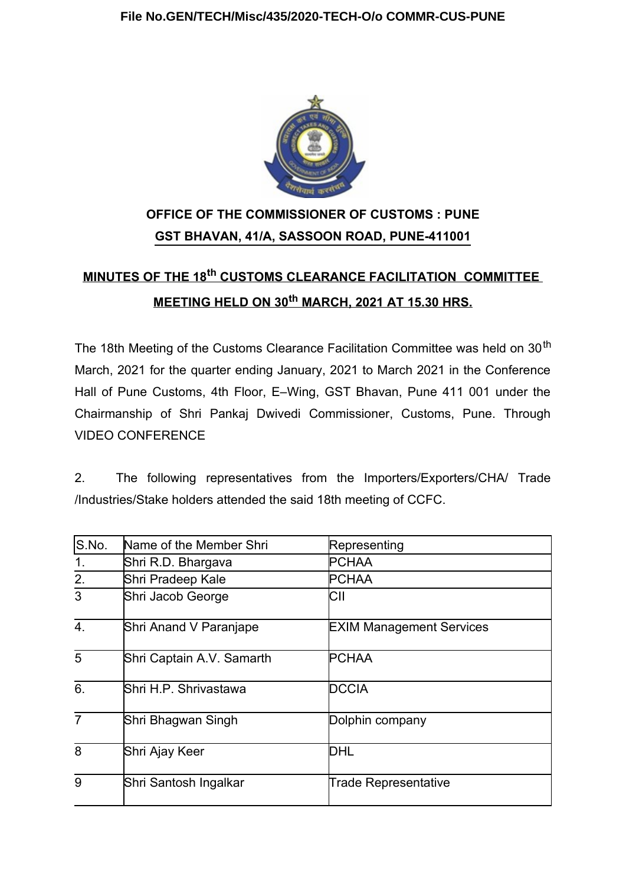

## **OFFICE OF THE COMMISSIONER OF CUSTOMS : PUNE GST BHAVAN, 41/A, SASSOON ROAD, PUNE-411001**

# **MINUTES OF THE 18th CUSTOMS CLEARANCE FACILITATION COMMITTEE MEETING HELD ON 30th MARCH, 2021 AT 15.30 HRS.**

The 18th Meeting of the Customs Clearance Facilitation Committee was held on 30<sup>th</sup> March, 2021 for the quarter ending January, 2021 to March 2021 in the Conference Hall of Pune Customs, 4th Floor, E–Wing, GST Bhavan, Pune 411 001 under the Chairmanship of Shri Pankaj Dwivedi Commissioner, Customs, Pune. Through VIDEO CONFERENCE

2. The following representatives from the Importers/Exporters/CHA/ Trade /Industries/Stake holders attended the said 18th meeting of CCFC.

| S.No.            | Name of the Member Shri<br>Representing |                                 |
|------------------|-----------------------------------------|---------------------------------|
| 1 <sub>1</sub>   | Shri R.D. Bhargava                      | <b>PCHAA</b>                    |
| 2.               | Shri Pradeep Kale                       | <b>PCHAA</b>                    |
| 3                | Shri Jacob George                       | СII                             |
| $\overline{4}$ . | Shri Anand V Paranjape                  | <b>EXIM Management Services</b> |
| 5                | Shri Captain A.V. Samarth               | <b>PCHAA</b>                    |
| $\overline{6}$ . | Shri H.P. Shrivastawa                   | <b>DCCIA</b>                    |
| $\overline{7}$   | Shri Bhagwan Singh                      | Dolphin company                 |
| 8                | Shri Ajay Keer                          | DHL                             |
| 9                | Shri Santosh Ingalkar                   | Trade Representative            |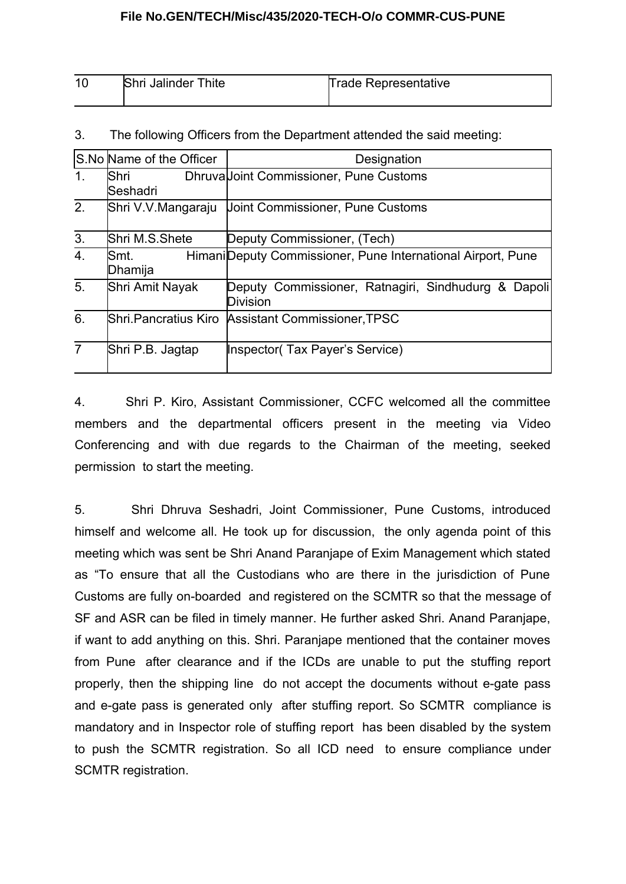| 10 | <b>Shri Jalinder Thite</b> | Trade Representative |
|----|----------------------------|----------------------|
|    |                            |                      |

|                  | S.No Name of the Officer | Designation                                                            |
|------------------|--------------------------|------------------------------------------------------------------------|
| $\mathbf 1$ .    | <b>Shri</b><br>Seshadri  | DhruvalJoint Commissioner, Pune Customs                                |
| $\overline{2}$ . | Shri V.V.Mangaraju       | Joint Commissioner, Pune Customs                                       |
| $\overline{3}$ . | Shri M.S.Shete           | Deputy Commissioner, (Tech)                                            |
| 4.               | lSmt.<br>Dhamija         | Himani Deputy Commissioner, Pune International Airport, Pune           |
| 5.               | Shri Amit Nayak          | Deputy Commissioner, Ratnagiri, Sindhudurg & Dapoli<br><b>Division</b> |
| 6.               | Shri Pancratius Kiro     | <b>Assistant Commissioner TPSC</b>                                     |
| $\overline{7}$   | Shri P.B. Jagtap         | Inspector (Tax Payer's Service)                                        |
|                  |                          |                                                                        |

3. The following Officers from the Department attended the said meeting:

4. Shri P. Kiro, Assistant Commissioner, CCFC welcomed all the committee members and the departmental officers present in the meeting via Video Conferencing and with due regards to the Chairman of the meeting, seeked permission to start the meeting.

5. Shri Dhruva Seshadri, Joint Commissioner, Pune Customs, introduced himself and welcome all. He took up for discussion, the only agenda point of this meeting which was sent be Shri Anand Paranjape of Exim Management which stated as "To ensure that all the Custodians who are there in the jurisdiction of Pune Customs are fully on-boarded and registered on the SCMTR so that the message of SF and ASR can be filed in timely manner. He further asked Shri. Anand Paranjape, if want to add anything on this. Shri. Paranjape mentioned that the container moves from Pune after clearance and if the ICDs are unable to put the stuffing report properly, then the shipping line do not accept the documents without e-gate pass and e-gate pass is generated only after stuffing report. So SCMTR compliance is mandatory and in Inspector role of stuffing report has been disabled by the system to push the SCMTR registration. So all ICD need to ensure compliance under SCMTR registration.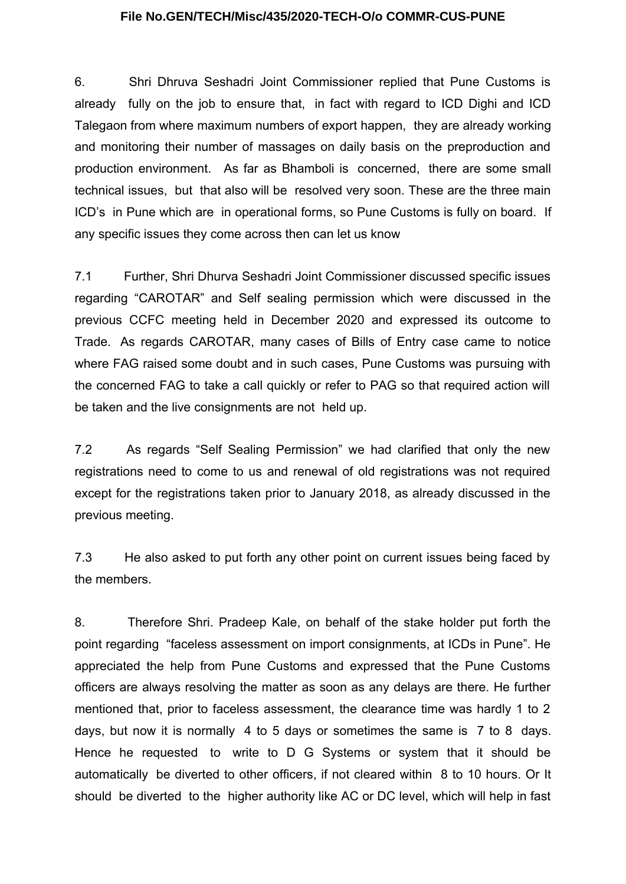6. Shri Dhruva Seshadri Joint Commissioner replied that Pune Customs is already fully on the job to ensure that, in fact with regard to ICD Dighi and ICD Talegaon from where maximum numbers of export happen, they are already working and monitoring their number of massages on daily basis on the preproduction and production environment. As far as Bhamboli is concerned, there are some small technical issues, but that also will be resolved very soon. These are the three main ICD's in Pune which are in operational forms, so Pune Customs is fully on board. If any specific issues they come across then can let us know

7.1 Further, Shri Dhurva Seshadri Joint Commissioner discussed specific issues regarding "CAROTAR" and Self sealing permission which were discussed in the previous CCFC meeting held in December 2020 and expressed its outcome to Trade. As regards CAROTAR, many cases of Bills of Entry case came to notice where FAG raised some doubt and in such cases, Pune Customs was pursuing with the concerned FAG to take a call quickly or refer to PAG so that required action will be taken and the live consignments are not held up.

7.2 As regards "Self Sealing Permission" we had clarified that only the new registrations need to come to us and renewal of old registrations was not required except for the registrations taken prior to January 2018, as already discussed in the previous meeting.

7.3 He also asked to put forth any other point on current issues being faced by the members.

8. Therefore Shri. Pradeep Kale, on behalf of the stake holder put forth the point regarding "faceless assessment on import consignments, at ICDs in Pune". He appreciated the help from Pune Customs and expressed that the Pune Customs officers are always resolving the matter as soon as any delays are there. He further mentioned that, prior to faceless assessment, the clearance time was hardly 1 to 2 days, but now it is normally 4 to 5 days or sometimes the same is 7 to 8 days. Hence he requested to write to D G Systems or system that it should be automatically be diverted to other officers, if not cleared within 8 to 10 hours. Or It should be diverted to the higher authority like AC or DC level, which will help in fast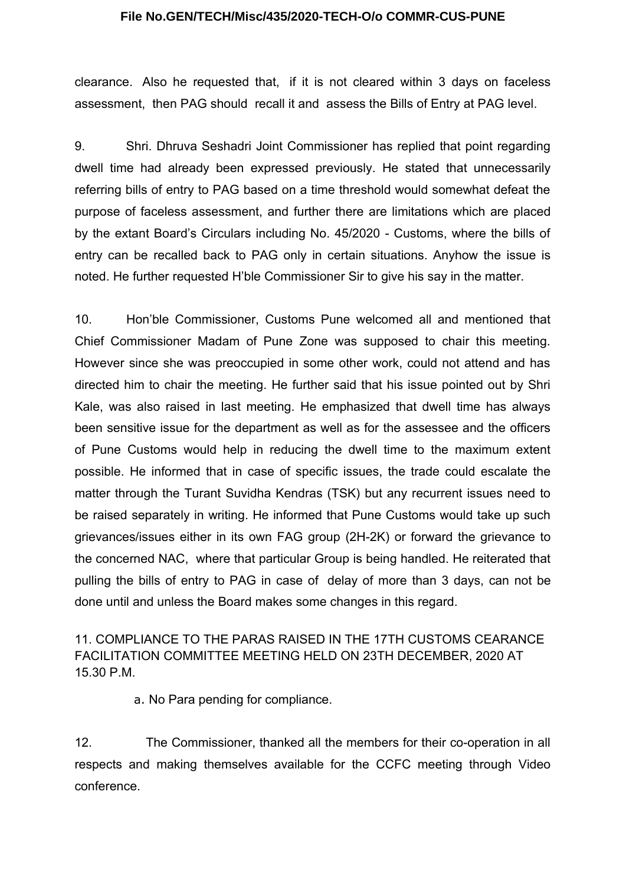clearance. Also he requested that, if it is not cleared within 3 days on faceless assessment, then PAG should recall it and assess the Bills of Entry at PAG level.

9. Shri. Dhruva Seshadri Joint Commissioner has replied that point regarding dwell time had already been expressed previously. He stated that unnecessarily referring bills of entry to PAG based on a time threshold would somewhat defeat the purpose of faceless assessment, and further there are limitations which are placed by the extant Board's Circulars including No. 45/2020 - Customs, where the bills of entry can be recalled back to PAG only in certain situations. Anyhow the issue is noted. He further requested H'ble Commissioner Sir to give his say in the matter.

10. Hon'ble Commissioner, Customs Pune welcomed all and mentioned that Chief Commissioner Madam of Pune Zone was supposed to chair this meeting. However since she was preoccupied in some other work, could not attend and has directed him to chair the meeting. He further said that his issue pointed out by Shri Kale, was also raised in last meeting. He emphasized that dwell time has always been sensitive issue for the department as well as for the assessee and the officers of Pune Customs would help in reducing the dwell time to the maximum extent possible. He informed that in case of specific issues, the trade could escalate the matter through the Turant Suvidha Kendras (TSK) but any recurrent issues need to be raised separately in writing. He informed that Pune Customs would take up such grievances/issues either in its own FAG group (2H-2K) or forward the grievance to the concerned NAC, where that particular Group is being handled. He reiterated that pulling the bills of entry to PAG in case of delay of more than 3 days, can not be done until and unless the Board makes some changes in this regard.

## 11. COMPLIANCE TO THE PARAS RAISED IN THE 17TH CUSTOMS CEARANCE FACILITATION COMMITTEE MEETING HELD ON 23TH DECEMBER, 2020 AT 15.30 P.M.

a. No Para pending for compliance.

12. The Commissioner, thanked all the members for their co-operation in all respects and making themselves available for the CCFC meeting through Video conference.